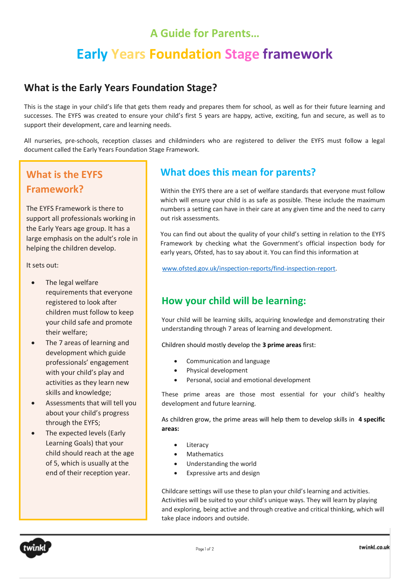## **A Guide for Parents…**

# **Early Years Foundation Stage framework**

#### **What is the Early Years Foundation Stage?**

This is the stage in your child's life that gets them ready and prepares them for school, as well as for their future learning and successes. The EYFS was created to ensure your child's first 5 years are happy, active, exciting, fun and secure, as well as to support their development, care and learning needs.

All nurseries, pre-schools, reception classes and childminders who are registered to deliver the EYFS must follow a legal document called the Early Years Foundation Stage Framework.

## **What is the EYFS Framework?**

The EYFS Framework is there to support all professionals working in the Early Years age group. It has a large emphasis on the adult's role in helping the children develop.

It sets out:

- The legal welfare requirements that everyone registered to look after children must follow to keep your child safe and promote their welfare;
- The 7 areas of learning and development which guide professionals' engagement with your child's play and activities as they learn new skills and knowledge;
- Assessments that will tell you about your child's progress through the EYFS;
- The expected levels (Early Learning Goals) that your child should reach at the age of 5, which is usually at the end of their reception year.

### **What does this mean for parents?**

Within the EYFS there are a set of welfare standards that everyone must follow which will ensure your child is as safe as possible. These include the maximum numbers a setting can have in their care at any given time and the need to carry out risk assessments.

You can find out about the quality of your child's setting in relation to the EYFS Framework by checking what the Government's official inspection body for early years, Ofsted, has to say about it. You can find this information at

[www.ofsted.gov.uk/inspection-reports/find-inspection-report.](http://www.ofsted.gov.uk/inspection-reports/find-inspection-report)

#### **How your child will be learning:**

Your child will be learning skills, acquiring knowledge and demonstrating their understanding through 7 areas of learning and development.

Children should mostly develop the **3 prime areas** first:

- Communication and language
- Physical development
- Personal, social and emotional development

These prime areas are those most essential for your child's healthy development and future learning.

As children grow, the prime areas will help them to develop skills in **4 specific areas:**

- Literacy
- **Mathematics**
- Understanding the world
- Expressive arts and design

Childcare settings will use these to plan your child's learning and activities. Activities will be suited to your child's unique ways. They will learn by playing and exploring, being active and through creative and critical thinking, which will take place indoors and outside.